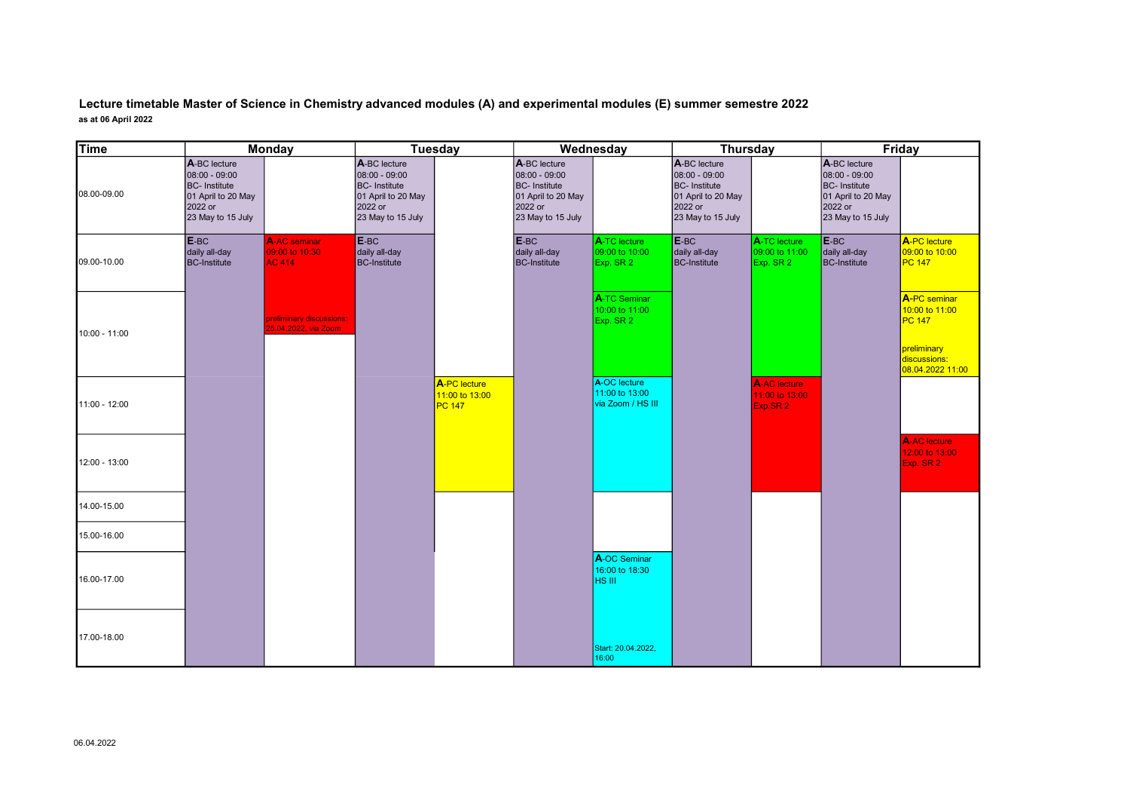Lecture timetable Master of Science in Chemistry advanced modules (A) and experimental modules (E) summer semestre 2022 as at 06 April 2022

| <b>Time</b>   | <b>Monday</b>                                                                                               |                                                        | <b>Tuesday</b>                                                                                              |                                                 | Wednesday                                                                                                   |                                                     | <b>Thursday</b>                                                                                            |                                                   | Friday                                                                                                     |                                                                                             |
|---------------|-------------------------------------------------------------------------------------------------------------|--------------------------------------------------------|-------------------------------------------------------------------------------------------------------------|-------------------------------------------------|-------------------------------------------------------------------------------------------------------------|-----------------------------------------------------|------------------------------------------------------------------------------------------------------------|---------------------------------------------------|------------------------------------------------------------------------------------------------------------|---------------------------------------------------------------------------------------------|
| 08.00-09.00   | A-BC lecture<br>08:00 - 09:00<br><b>BC-</b> Institute<br>01 April to 20 May<br>2022 or<br>23 May to 15 July |                                                        | A-BC lecture<br>08:00 - 09:00<br><b>BC-</b> Institute<br>01 April to 20 May<br>2022 or<br>23 May to 15 July |                                                 | A-BC lecture<br>08:00 - 09:00<br><b>BC-</b> Institute<br>01 April to 20 May<br>2022 or<br>23 May to 15 July |                                                     | A-BC lecture<br>08:00 - 09:00<br><b>BC-Institute</b><br>01 April to 20 May<br>2022 or<br>23 May to 15 July |                                                   | A-BC lecture<br>08:00 - 09:00<br><b>BC-Institute</b><br>01 April to 20 May<br>2022 or<br>23 May to 15 July |                                                                                             |
| 09.00-10.00   | E-BC<br>daily all-day<br><b>BC-Institute</b>                                                                | <b>A-AC</b> seminar<br>09:00 to 10:30<br><b>AC 414</b> | E-BC<br>daily all-day<br><b>BC-Institute</b>                                                                |                                                 | E-BC<br>daily all-day<br><b>BC-Institute</b>                                                                | A-TC lecture<br>09:00 to 10:00<br>Exp. SR 2         | E-BC<br>daily all-day<br><b>BC-Institute</b>                                                               | A-TC lecture<br>09:00 to 11:00<br>Exp. SR 2       | E-BC<br>daily all-day<br><b>BC-Institute</b>                                                               | A-PC lecture<br>09:00 to 10:00<br><b>PC 147</b>                                             |
| 10:00 - 11:00 |                                                                                                             | preliminary discussions:<br>25.04.2022, via Zoom       |                                                                                                             |                                                 |                                                                                                             | A-TC Seminar<br>10:00 to 11:00<br>Exp. SR 2         |                                                                                                            |                                                   |                                                                                                            | A-PC seminar<br>10:00 to 11:00<br>PC 147<br>preliminary<br>discussions:<br>08.04.2022 11:00 |
| 11:00 - 12:00 |                                                                                                             |                                                        |                                                                                                             | A-PC lecture<br>11:00 to 13:00<br><b>PC 147</b> |                                                                                                             | A-OC lecture<br>11:00 to 13:00<br>via Zoom / HS III |                                                                                                            | <b>A-AC</b> lecture<br>11:00 to 13:00<br>Exp.SR 2 |                                                                                                            |                                                                                             |
| 12:00 - 13:00 |                                                                                                             |                                                        |                                                                                                             |                                                 |                                                                                                             |                                                     |                                                                                                            |                                                   |                                                                                                            | <b>A-AC</b> lecture<br>12:00 to 13:00<br>Exp. SR 2                                          |
| 14.00-15.00   |                                                                                                             |                                                        |                                                                                                             |                                                 |                                                                                                             |                                                     |                                                                                                            |                                                   |                                                                                                            |                                                                                             |
| 15.00-16.00   |                                                                                                             |                                                        |                                                                                                             |                                                 |                                                                                                             |                                                     |                                                                                                            |                                                   |                                                                                                            |                                                                                             |
| 16.00-17.00   |                                                                                                             |                                                        |                                                                                                             |                                                 |                                                                                                             | A-OC Seminar<br>16:00 to 18:30<br>HS III            |                                                                                                            |                                                   |                                                                                                            |                                                                                             |
| 17.00-18.00   |                                                                                                             |                                                        |                                                                                                             |                                                 |                                                                                                             | Start: 20.04.2022,<br>16:00                         |                                                                                                            |                                                   |                                                                                                            |                                                                                             |